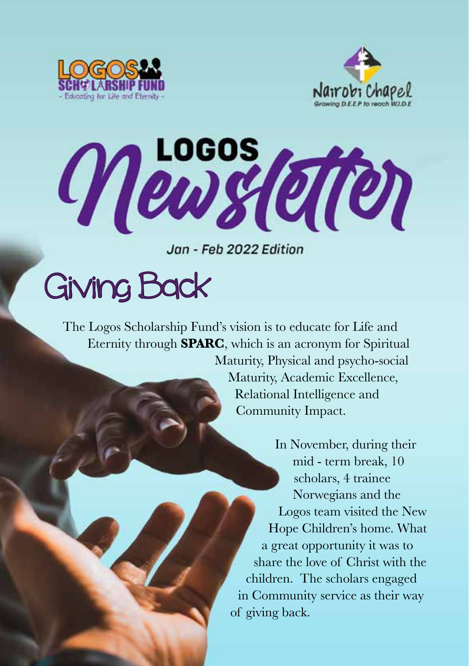



Newsletten

Jan - Feb 2022 Edition

## Giving Back

The Logos Scholarship Fund's vision is to educate for Life and Eternity through **SPARC**, which is an acronym for Spiritual Maturity, Physical and psycho-social Maturity, Academic Excellence, Relational Intelligence and Community Impact.

> In November, during their mid - term break, 10 scholars, 4 trainee Norwegians and the Logos team visited the New Hope Children's home. What a great opportunity it was to share the love of Christ with the children. The scholars engaged in Community service as their way of giving back.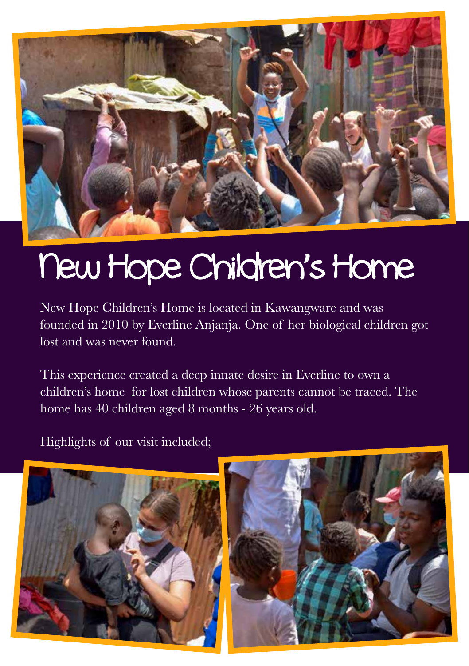

# New Hope Children's Home

New Hope Children's Home is located in Kawangware and was founded in 2010 by Everline Anjanja. One of her biological children got lost and was never found.

This experience created a deep innate desire in Everline to own a children's home for lost children whose parents cannot be traced. The home has 40 children aged 8 months - 26 years old.

Highlights of our visit included;

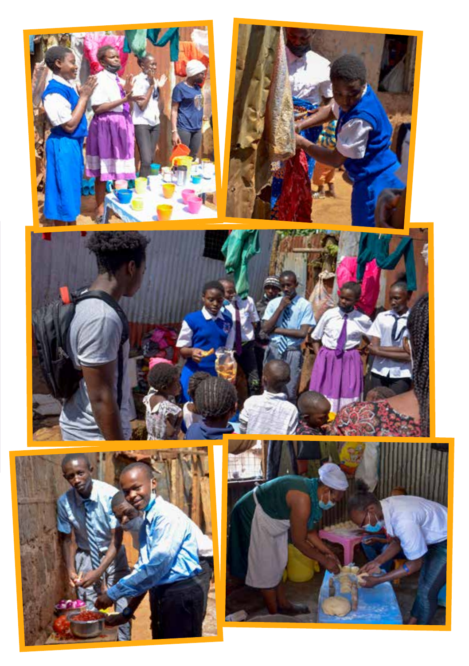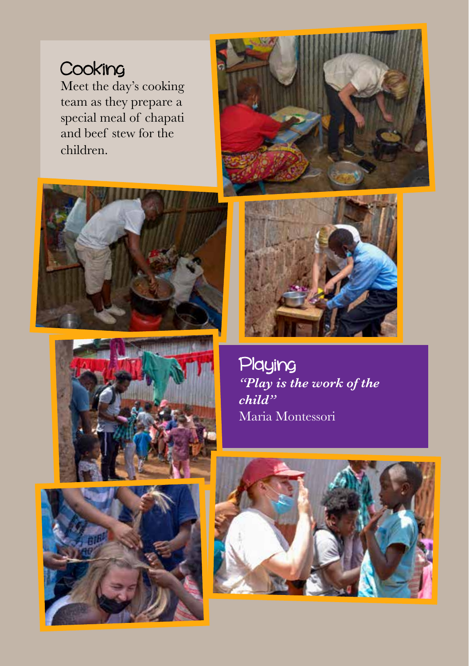### **Cooking**

Meet the day's cooking team as they prepare a special meal of chapati and beef stew for the children.









![](_page_3_Picture_6.jpeg)

Playing *"Play is the work of the child"*  Maria Montessori

![](_page_3_Picture_8.jpeg)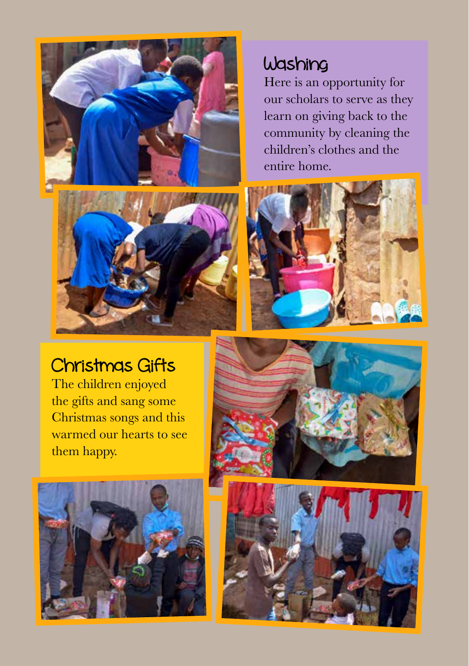![](_page_4_Picture_0.jpeg)

## Washing

Here is an opportunity for our scholars to serve as they learn on giving back to the community by cleaning the children's clothes and the entire home.

![](_page_4_Picture_3.jpeg)

## Christmas Gifts

The children enjoyed the gifts and sang some Christmas songs and this warmed our hearts to see them happy.

![](_page_4_Picture_6.jpeg)

![](_page_4_Picture_7.jpeg)

![](_page_4_Picture_8.jpeg)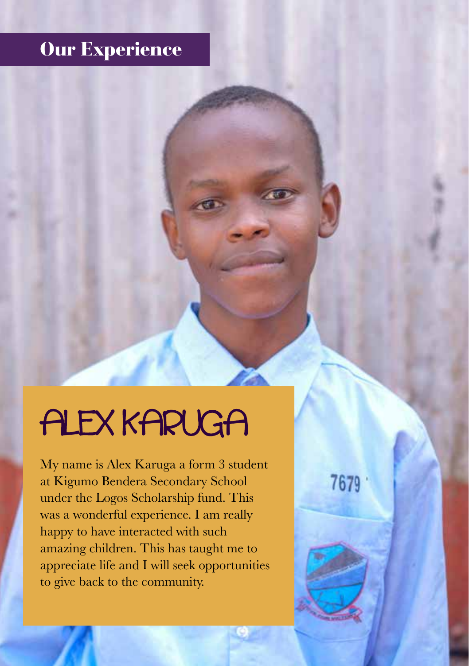### Our Experience

## ALEX KARUGA

My name is Alex Karuga a form 3 student at Kigumo Bendera Secondary School under the Logos Scholarship fund. This was a wonderful experience. I am really happy to have interacted with such amazing children. This has taught me to appreciate life and I will seek opportunities to give back to the community.

7679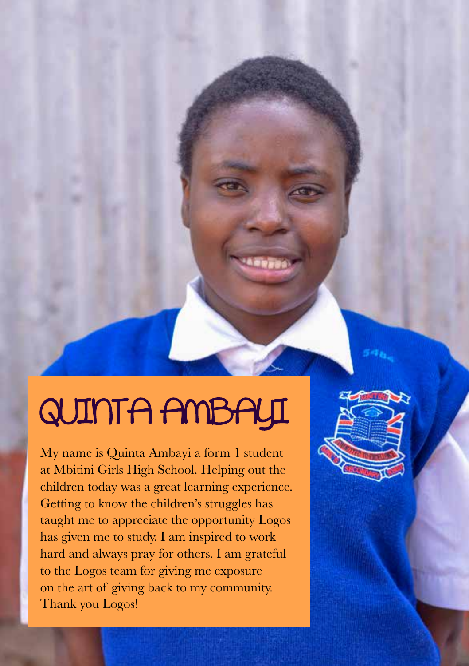# QUINTA AMBAYI

My name is Quinta Ambayi a form 1 student at Mbitini Girls High School. Helping out the children today was a great learning experience. Getting to know the children's struggles has taught me to appreciate the opportunity Logos has given me to study. I am inspired to work hard and always pray for others. I am grateful to the Logos team for giving me exposure on the art of giving back to my community. Thank you Logos!

![](_page_6_Picture_2.jpeg)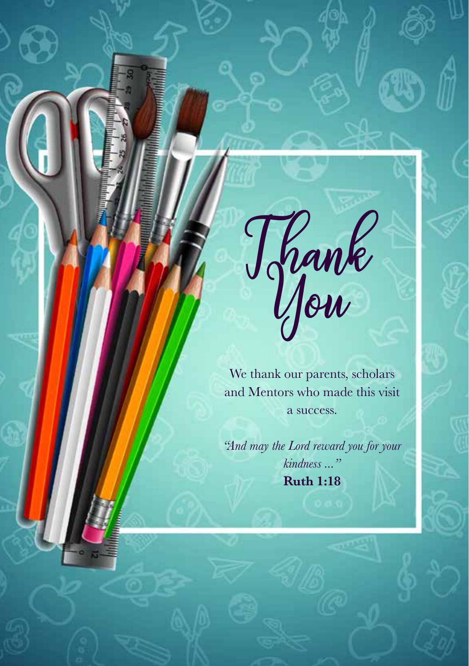![](_page_7_Picture_0.jpeg)

We thank our parents, scholars and Mentors who made this visit a success.

*"And may the Lord reward you for your kindness ..."* **Ruth 1:18**